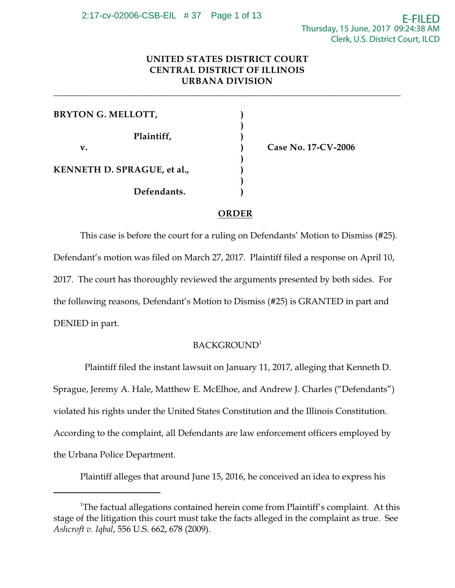# **UNITED STATES DISTRICT COURT CENTRAL DISTRICT OF ILLINOIS URBANA DIVISION**

**\_\_\_\_\_\_\_\_\_\_\_\_\_\_\_\_\_\_\_\_\_\_\_\_\_\_\_\_\_\_\_\_\_\_\_\_\_\_\_\_\_\_\_\_\_\_\_\_\_\_\_\_\_\_\_\_\_\_\_\_\_\_\_\_\_\_\_\_\_\_\_\_\_\_\_**

| <b>BRYTON G. MELLOTT,</b>          |  |
|------------------------------------|--|
| Plaintiff,                         |  |
| v.                                 |  |
| <b>KENNETH D. SPRAGUE, et al.,</b> |  |
| Defendants.                        |  |

**v. ) Case No. 17-CV-2006**

## **ORDER**

This case is before the court for a ruling on Defendants' Motion to Dismiss (#25). Defendant's motion was filed on March 27, 2017. Plaintiff filed a response on April 10, 2017. The court has thoroughly reviewed the arguments presented by both sides. For the following reasons, Defendant's Motion to Dismiss (#25) is GRANTED in part and DENIED in part.

## BACKGROUND<sup>1</sup>

 Plaintiff filed the instant lawsuit on January 11, 2017, alleging that Kenneth D. Sprague, Jeremy A. Hale, Matthew E. McElhoe, and Andrew J. Charles ("Defendants") violated his rights under the United States Constitution and the Illinois Constitution. According to the complaint, all Defendants are law enforcement officers employed by the Urbana Police Department.

Plaintiff alleges that around June 15, 2016, he conceived an idea to express his

<sup>&</sup>lt;sup>1</sup>The factual allegations contained herein come from Plaintiff's complaint. At this stage of the litigation this court must take the facts alleged in the complaint as true. See *Ashcroft v. Iqbal*, 556 U.S. 662, 678 (2009).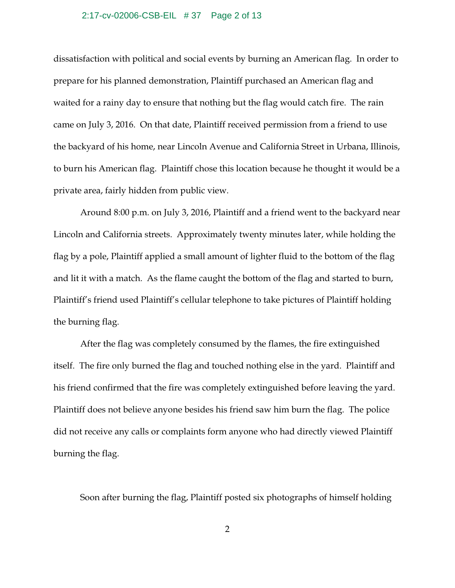### 2:17-cv-02006-CSB-EIL # 37 Page 2 of 13

dissatisfaction with political and social events by burning an American flag. In order to prepare for his planned demonstration, Plaintiff purchased an American flag and waited for a rainy day to ensure that nothing but the flag would catch fire. The rain came on July 3, 2016. On that date, Plaintiff received permission from a friend to use the backyard of his home, near Lincoln Avenue and California Street in Urbana, Illinois, to burn his American flag. Plaintiff chose this location because he thought it would be a private area, fairly hidden from public view.

Around 8:00 p.m. on July 3, 2016, Plaintiff and a friend went to the backyard near Lincoln and California streets. Approximately twenty minutes later, while holding the flag by a pole, Plaintiff applied a small amount of lighter fluid to the bottom of the flag and lit it with a match. As the flame caught the bottom of the flag and started to burn, Plaintiff's friend used Plaintiff's cellular telephone to take pictures of Plaintiff holding the burning flag.

After the flag was completely consumed by the flames, the fire extinguished itself. The fire only burned the flag and touched nothing else in the yard. Plaintiff and his friend confirmed that the fire was completely extinguished before leaving the yard. Plaintiff does not believe anyone besides his friend saw him burn the flag. The police did not receive any calls or complaints form anyone who had directly viewed Plaintiff burning the flag.

Soon after burning the flag, Plaintiff posted six photographs of himself holding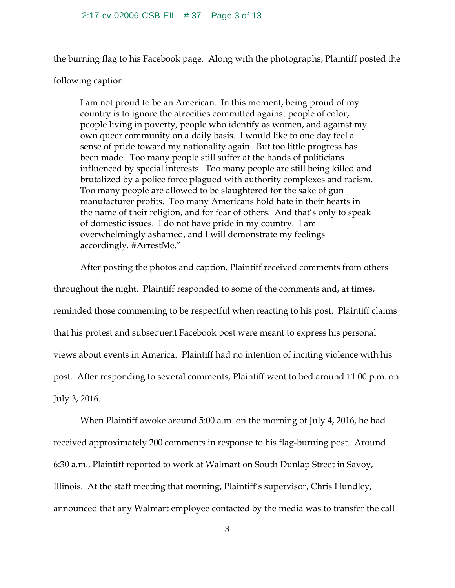the burning flag to his Facebook page. Along with the photographs, Plaintiff posted the

following caption:

I am not proud to be an American. In this moment, being proud of my country is to ignore the atrocities committed against people of color, people living in poverty, people who identify as women, and against my own queer community on a daily basis. I would like to one day feel a sense of pride toward my nationality again. But too little progress has been made. Too many people still suffer at the hands of politicians influenced by special interests. Too many people are still being killed and brutalized by a police force plagued with authority complexes and racism. Too many people are allowed to be slaughtered for the sake of gun manufacturer profits. Too many Americans hold hate in their hearts in the name of their religion, and for fear of others. And that's only to speak of domestic issues. I do not have pride in my country. I am overwhelmingly ashamed, and I will demonstrate my feelings accordingly. #ArrestMe."

After posting the photos and caption, Plaintiff received comments from others throughout the night. Plaintiff responded to some of the comments and, at times, reminded those commenting to be respectful when reacting to his post. Plaintiff claims that his protest and subsequent Facebook post were meant to express his personal views about events in America. Plaintiff had no intention of inciting violence with his post. After responding to several comments, Plaintiff went to bed around 11:00 p.m. on July 3, 2016.

When Plaintiff awoke around 5:00 a.m. on the morning of July 4, 2016, he had received approximately 200 comments in response to his flag-burning post. Around 6:30 a.m., Plaintiff reported to work at Walmart on South Dunlap Street in Savoy, Illinois. At the staff meeting that morning, Plaintiff's supervisor, Chris Hundley, announced that any Walmart employee contacted by the media was to transfer the call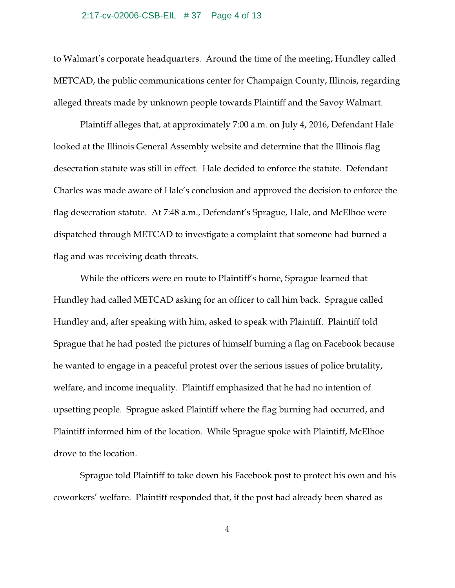### 2:17-cv-02006-CSB-EIL # 37 Page 4 of 13

to Walmart's corporate headquarters. Around the time of the meeting, Hundley called METCAD, the public communications center for Champaign County, Illinois, regarding alleged threats made by unknown people towards Plaintiff and the Savoy Walmart.

Plaintiff alleges that, at approximately 7:00 a.m. on July 4, 2016, Defendant Hale looked at the Illinois General Assembly website and determine that the Illinois flag desecration statute was still in effect. Hale decided to enforce the statute. Defendant Charles was made aware of Hale's conclusion and approved the decision to enforce the flag desecration statute. At 7:48 a.m., Defendant's Sprague, Hale, and McElhoe were dispatched through METCAD to investigate a complaint that someone had burned a flag and was receiving death threats.

While the officers were en route to Plaintiff's home, Sprague learned that Hundley had called METCAD asking for an officer to call him back. Sprague called Hundley and, after speaking with him, asked to speak with Plaintiff. Plaintiff told Sprague that he had posted the pictures of himself burning a flag on Facebook because he wanted to engage in a peaceful protest over the serious issues of police brutality, welfare, and income inequality. Plaintiff emphasized that he had no intention of upsetting people. Sprague asked Plaintiff where the flag burning had occurred, and Plaintiff informed him of the location. While Sprague spoke with Plaintiff, McElhoe drove to the location.

Sprague told Plaintiff to take down his Facebook post to protect his own and his coworkers' welfare. Plaintiff responded that, if the post had already been shared as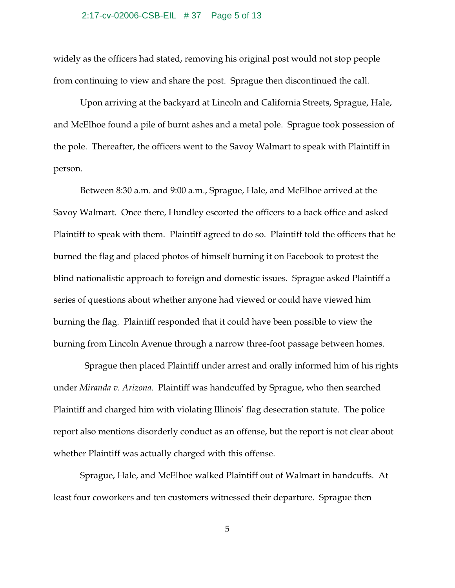### 2:17-cv-02006-CSB-EIL # 37 Page 5 of 13

widely as the officers had stated, removing his original post would not stop people from continuing to view and share the post. Sprague then discontinued the call.

Upon arriving at the backyard at Lincoln and California Streets, Sprague, Hale, and McElhoe found a pile of burnt ashes and a metal pole. Sprague took possession of the pole. Thereafter, the officers went to the Savoy Walmart to speak with Plaintiff in person.

Between 8:30 a.m. and 9:00 a.m., Sprague, Hale, and McElhoe arrived at the Savoy Walmart. Once there, Hundley escorted the officers to a back office and asked Plaintiff to speak with them. Plaintiff agreed to do so. Plaintiff told the officers that he burned the flag and placed photos of himself burning it on Facebook to protest the blind nationalistic approach to foreign and domestic issues. Sprague asked Plaintiff a series of questions about whether anyone had viewed or could have viewed him burning the flag. Plaintiff responded that it could have been possible to view the burning from Lincoln Avenue through a narrow three-foot passage between homes.

 Sprague then placed Plaintiff under arrest and orally informed him of his rights under *Miranda v. Arizona*. Plaintiff was handcuffed by Sprague, who then searched Plaintiff and charged him with violating Illinois' flag desecration statute. The police report also mentions disorderly conduct as an offense, but the report is not clear about whether Plaintiff was actually charged with this offense.

Sprague, Hale, and McElhoe walked Plaintiff out of Walmart in handcuffs. At least four coworkers and ten customers witnessed their departure. Sprague then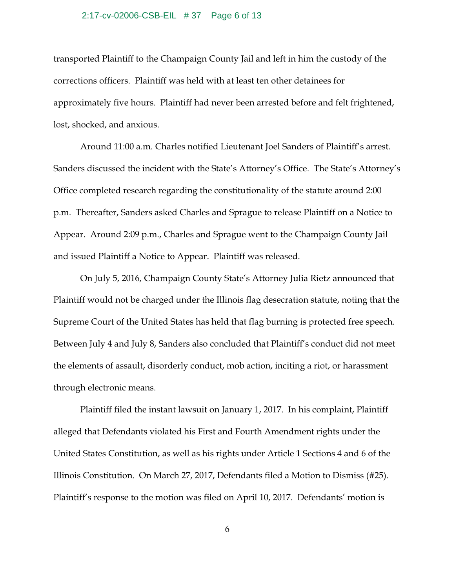### 2:17-cv-02006-CSB-EIL # 37 Page 6 of 13

transported Plaintiff to the Champaign County Jail and left in him the custody of the corrections officers. Plaintiff was held with at least ten other detainees for approximately five hours. Plaintiff had never been arrested before and felt frightened, lost, shocked, and anxious.

Around 11:00 a.m. Charles notified Lieutenant Joel Sanders of Plaintiff's arrest. Sanders discussed the incident with the State's Attorney's Office. The State's Attorney's Office completed research regarding the constitutionality of the statute around 2:00 p.m. Thereafter, Sanders asked Charles and Sprague to release Plaintiff on a Notice to Appear. Around 2:09 p.m., Charles and Sprague went to the Champaign County Jail and issued Plaintiff a Notice to Appear. Plaintiff was released.

On July 5, 2016, Champaign County State's Attorney Julia Rietz announced that Plaintiff would not be charged under the Illinois flag desecration statute, noting that the Supreme Court of the United States has held that flag burning is protected free speech. Between July 4 and July 8, Sanders also concluded that Plaintiff's conduct did not meet the elements of assault, disorderly conduct, mob action, inciting a riot, or harassment through electronic means.

Plaintiff filed the instant lawsuit on January 1, 2017. In his complaint, Plaintiff alleged that Defendants violated his First and Fourth Amendment rights under the United States Constitution, as well as his rights under Article 1 Sections 4 and 6 of the Illinois Constitution. On March 27, 2017, Defendants filed a Motion to Dismiss (#25). Plaintiff's response to the motion was filed on April 10, 2017. Defendants' motion is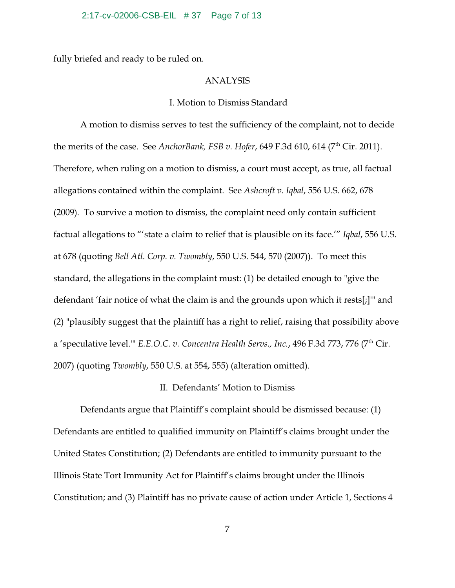### 2:17-cv-02006-CSB-EIL # 37 Page 7 of 13

fully briefed and ready to be ruled on.

### ANALYSIS

### I. Motion to Dismiss Standard

A motion to dismiss serves to test the sufficiency of the complaint, not to decide the merits of the case. See *AnchorBank, FSB v. Hofer,* 649 F.3d 610, 614 (7<sup>th</sup> Cir. 2011). Therefore, when ruling on a motion to dismiss, a court must accept, as true, all factual allegations contained within the complaint. See *Ashcroft v. Iqbal*, 556 U.S. 662, 678 (2009)*.* To survive a motion to dismiss, the complaint need only contain sufficient factual allegations to "'state a claim to relief that is plausible on its face.'" *Iqbal*, 556 U.S. at 678 (quoting *Bell Atl. Corp. v. Twombly*, 550 U.S. 544, 570 (2007)). To meet this standard, the allegations in the complaint must: (1) be detailed enough to "give the defendant 'fair notice of what the claim is and the grounds upon which it rests[;]'" and (2) "plausibly suggest that the plaintiff has a right to relief, raising that possibility above a 'speculative level.'" *E.E.O.C. v. Concentra Health Servs., Inc.,* 496 F.3d 773, 776 (7<sup>th</sup> Cir. 2007) (quoting *Twombly*, 550 U.S. at 554, 555) (alteration omitted).

## II. Defendants' Motion to Dismiss

Defendants argue that Plaintiff's complaint should be dismissed because: (1) Defendants are entitled to qualified immunity on Plaintiff's claims brought under the United States Constitution; (2) Defendants are entitled to immunity pursuant to the Illinois State Tort Immunity Act for Plaintiff's claims brought under the Illinois Constitution; and (3) Plaintiff has no private cause of action under Article 1, Sections 4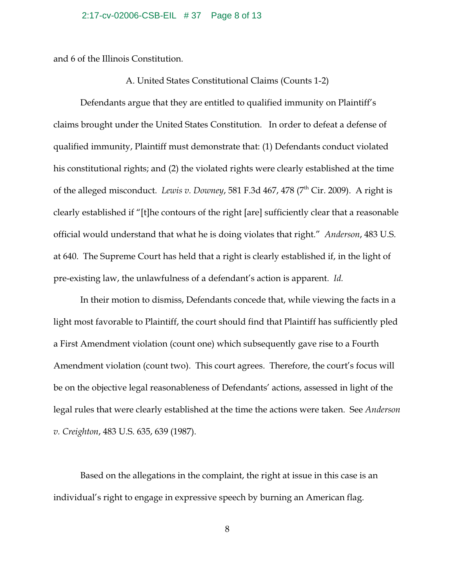### 2:17-cv-02006-CSB-EIL # 37 Page 8 of 13

and 6 of the Illinois Constitution.

### A. United States Constitutional Claims (Counts 1-2)

Defendants argue that they are entitled to qualified immunity on Plaintiff's claims brought under the United States Constitution. In order to defeat a defense of qualified immunity, Plaintiff must demonstrate that: (1) Defendants conduct violated his constitutional rights; and (2) the violated rights were clearly established at the time of the alleged misconduct. *Lewis v. Downey,* 581 F.3d 467, 478 (7<sup>th</sup> Cir. 2009). A right is clearly established if "[t]he contours of the right [are] sufficiently clear that a reasonable official would understand that what he is doing violates that right." *Anderson*, 483 U.S. at 640. The Supreme Court has held that a right is clearly established if, in the light of pre-existing law, the unlawfulness of a defendant's action is apparent. *Id.*

In their motion to dismiss, Defendants concede that, while viewing the facts in a light most favorable to Plaintiff, the court should find that Plaintiff has sufficiently pled a First Amendment violation (count one) which subsequently gave rise to a Fourth Amendment violation (count two). This court agrees. Therefore, the court's focus will be on the objective legal reasonableness of Defendants' actions, assessed in light of the legal rules that were clearly established at the time the actions were taken. See *Anderson v. Creighton*, 483 U.S. 635, 639 (1987).

Based on the allegations in the complaint, the right at issue in this case is an individual's right to engage in expressive speech by burning an American flag.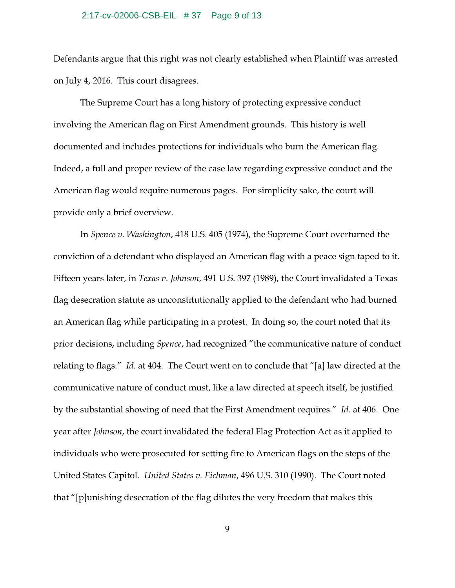### 2:17-cv-02006-CSB-EIL # 37 Page 9 of 13

Defendants argue that this right was not clearly established when Plaintiff was arrested on July 4, 2016. This court disagrees.

The Supreme Court has a long history of protecting expressive conduct involving the American flag on First Amendment grounds. This history is well documented and includes protections for individuals who burn the American flag. Indeed, a full and proper review of the case law regarding expressive conduct and the American flag would require numerous pages. For simplicity sake, the court will provide only a brief overview.

In *Spence v. Washington*, 418 U.S. 405 (1974), the Supreme Court overturned the conviction of a defendant who displayed an American flag with a peace sign taped to it. Fifteen years later, in *Texas v. Johnson*, 491 U.S. 397 (1989), the Court invalidated a Texas flag desecration statute as unconstitutionally applied to the defendant who had burned an American flag while participating in a protest. In doing so, the court noted that its prior decisions, including *Spence*, had recognized "the communicative nature of conduct relating to flags." *Id.* at 404. The Court went on to conclude that "[a] law directed at the communicative nature of conduct must, like a law directed at speech itself, be justified by the substantial showing of need that the First Amendment requires." *Id.* at 406. One year after *Johnson*, the court invalidated the federal Flag Protection Act as it applied to individuals who were prosecuted for setting fire to American flags on the steps of the United States Capitol. *United States v. Eichman*, 496 U.S. 310 (1990). The Court noted that "[p]unishing desecration of the flag dilutes the very freedom that makes this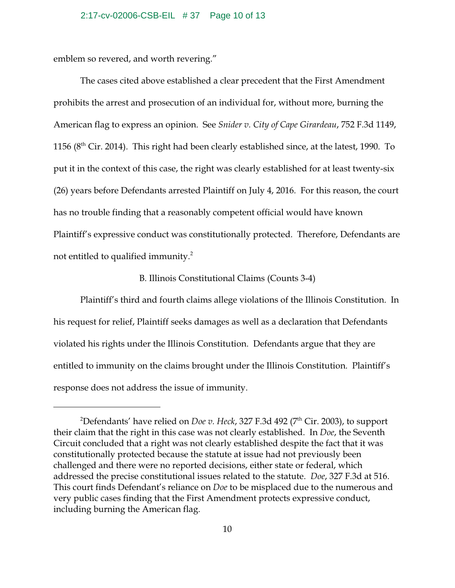### 2:17-cv-02006-CSB-EIL # 37 Page 10 of 13

emblem so revered, and worth revering."

The cases cited above established a clear precedent that the First Amendment prohibits the arrest and prosecution of an individual for, without more, burning the American flag to express an opinion. See *Snider v. City of Cape Girardeau*, 752 F.3d 1149, 1156 ( $8^{\rm th}$  Cir. 2014). This right had been clearly established since, at the latest, 1990. To put it in the context of this case, the right was clearly established for at least twenty-six (26) years before Defendants arrested Plaintiff on July 4, 2016. For this reason, the court has no trouble finding that a reasonably competent official would have known Plaintiff's expressive conduct was constitutionally protected. Therefore, Defendants are not entitled to qualified immunity. $2$ 

### B. Illinois Constitutional Claims (Counts 3-4)

Plaintiff's third and fourth claims allege violations of the Illinois Constitution. In his request for relief, Plaintiff seeks damages as well as a declaration that Defendants violated his rights under the Illinois Constitution. Defendants argue that they are entitled to immunity on the claims brought under the Illinois Constitution. Plaintiff's response does not address the issue of immunity.

 $^2$ Defendants' have relied on *Doe v. Heck,* 327 F.3d 492 (7 $^{\rm th}$  Cir. 2003), to support their claim that the right in this case was not clearly established. In *Doe*, the Seventh Circuit concluded that a right was not clearly established despite the fact that it was constitutionally protected because the statute at issue had not previously been challenged and there were no reported decisions, either state or federal, which addressed the precise constitutional issues related to the statute. *Doe*, 327 F.3d at 516. This court finds Defendant's reliance on *Doe* to be misplaced due to the numerous and very public cases finding that the First Amendment protects expressive conduct, including burning the American flag.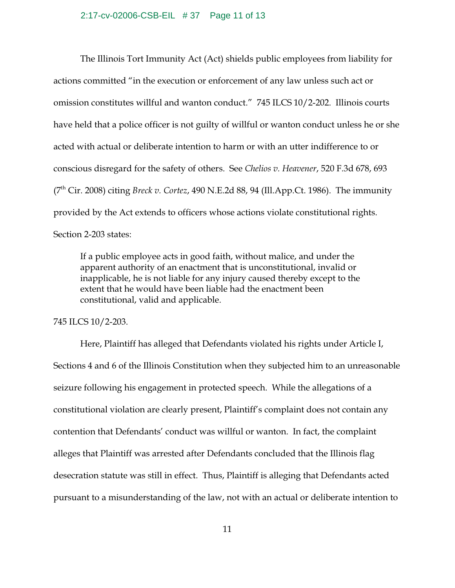The Illinois Tort Immunity Act (Act) shields public employees from liability for actions committed "in the execution or enforcement of any law unless such act or omission constitutes willful and wanton conduct." 745 ILCS 10/2-202. Illinois courts have held that a police officer is not guilty of willful or wanton conduct unless he or she acted with actual or deliberate intention to harm or with an utter indifference to or conscious disregard for the safety of others. See *Chelios v. Heavener*, 520 F.3d 678, 693 (7th Cir. 2008) citing *Breck v. Cortez*, 490 N.E.2d 88, 94 (Ill.App.Ct. 1986). The immunity provided by the Act extends to officers whose actions violate constitutional rights. Section 2-203 states:

If a public employee acts in good faith, without malice, and under the apparent authority of an enactment that is unconstitutional, invalid or inapplicable, he is not liable for any injury caused thereby except to the extent that he would have been liable had the enactment been constitutional, valid and applicable.

745 ILCS 10/2-203.

Here, Plaintiff has alleged that Defendants violated his rights under Article I, Sections 4 and 6 of the Illinois Constitution when they subjected him to an unreasonable seizure following his engagement in protected speech. While the allegations of a constitutional violation are clearly present, Plaintiff's complaint does not contain any contention that Defendants' conduct was willful or wanton. In fact, the complaint alleges that Plaintiff was arrested after Defendants concluded that the Illinois flag desecration statute was still in effect. Thus, Plaintiff is alleging that Defendants acted pursuant to a misunderstanding of the law, not with an actual or deliberate intention to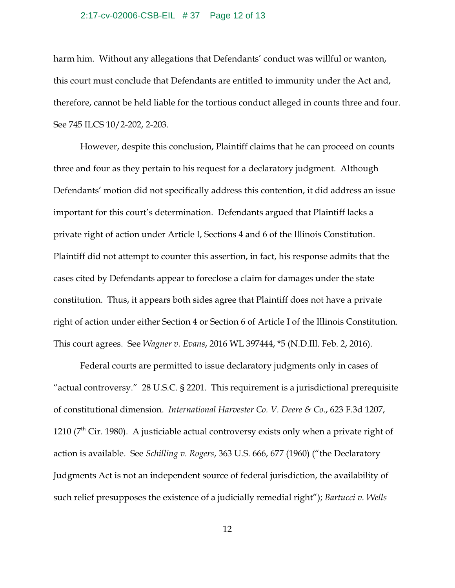### 2:17-cv-02006-CSB-EIL # 37 Page 12 of 13

harm him. Without any allegations that Defendants' conduct was willful or wanton, this court must conclude that Defendants are entitled to immunity under the Act and, therefore, cannot be held liable for the tortious conduct alleged in counts three and four. See 745 ILCS 10/2-202, 2-203.

However, despite this conclusion, Plaintiff claims that he can proceed on counts three and four as they pertain to his request for a declaratory judgment. Although Defendants' motion did not specifically address this contention, it did address an issue important for this court's determination. Defendants argued that Plaintiff lacks a private right of action under Article I, Sections 4 and 6 of the Illinois Constitution. Plaintiff did not attempt to counter this assertion, in fact, his response admits that the cases cited by Defendants appear to foreclose a claim for damages under the state constitution. Thus, it appears both sides agree that Plaintiff does not have a private right of action under either Section 4 or Section 6 of Article I of the Illinois Constitution. This court agrees. See *Wagner v. Evans*, 2016 WL 397444, \*5 (N.D.Ill. Feb. 2, 2016).

Federal courts are permitted to issue declaratory judgments only in cases of "actual controversy." 28 U.S.C. § 2201. This requirement is a jurisdictional prerequisite of constitutional dimension. *International Harvester Co. V. Deere & Co.*, 623 F.3d 1207, 1210 ( $7<sup>th</sup>$  Cir. 1980). A justiciable actual controversy exists only when a private right of action is available. See *Schilling v. Rogers*, 363 U.S. 666, 677 (1960) ("the Declaratory Judgments Act is not an independent source of federal jurisdiction, the availability of such relief presupposes the existence of a judicially remedial right"); *Bartucci v. Wells*